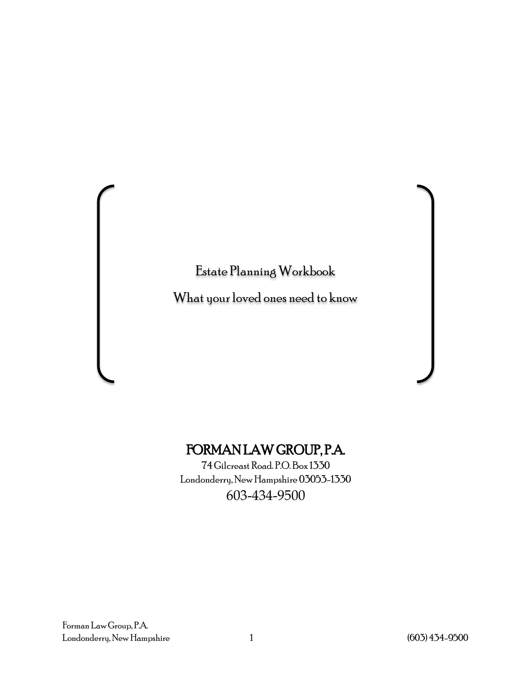Estate Planning Workbook

What your loved ones need to know

#### FORMAN LAW GROUP, P.A.

74 Gilcreast Road. P.O.Box 1330 Londonderry, New Hampshire 03053-1330 603-434-9500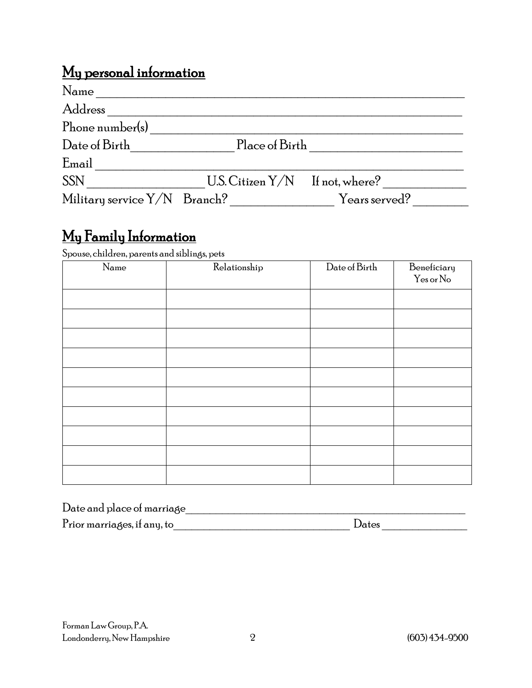## My personal information

| Name                           |                                   |               |
|--------------------------------|-----------------------------------|---------------|
| Address                        |                                   |               |
| Phone number(s)                |                                   |               |
| Date of Birth                  | Place of Birth                    |               |
| Email                          |                                   |               |
| <b>SSN</b>                     | U.S. Citizen $Y/N$ If not, where? |               |
| Military service $Y/N$ Branch? |                                   | Years served? |

# My Family Information Spouse, children, parents and siblings, pets

| Name | Relationship | Date of Birth | Beneficiary<br>Yes or No |
|------|--------------|---------------|--------------------------|
|      |              |               |                          |
|      |              |               |                          |
|      |              |               |                          |
|      |              |               |                          |
|      |              |               |                          |
|      |              |               |                          |
|      |              |               |                          |
|      |              |               |                          |
|      |              |               |                          |
|      |              |               |                          |

| Date and place of marriage  |       |
|-----------------------------|-------|
| Prior marriages, if any, to | Dates |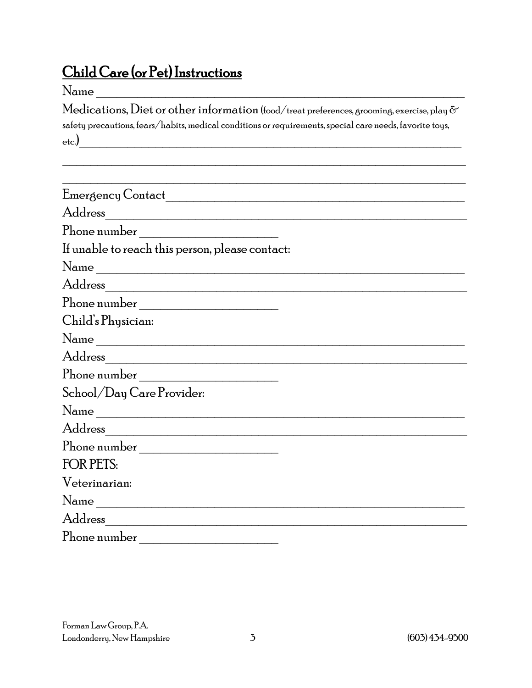#### Child Care (or Pet) Instructions

#### $\rm Name$

 $\operatorname{\mathsf{Medications}}, \operatorname{\mathsf{Dict}}$  or other information (food/treat preferences, grooming, exercise, play  $\sigma$ safety precautions, fears/habits, medical conditions or requirements, special care needs, favorite toys, etc.)\_\_\_\_\_\_\_\_\_\_\_\_\_\_\_\_\_\_\_\_\_\_\_\_\_\_\_\_\_\_\_\_\_\_\_\_\_\_\_\_\_\_\_\_\_\_\_\_\_\_\_\_\_\_\_

 $\mathcal{L} = \{ \mathcal{L} = \{ \mathcal{L} \mid \mathcal{L} = \{ \mathcal{L} \mid \mathcal{L} = \{ \mathcal{L} \mid \mathcal{L} = \{ \mathcal{L} \mid \mathcal{L} = \{ \mathcal{L} \mid \mathcal{L} = \{ \mathcal{L} \mid \mathcal{L} = \{ \mathcal{L} \mid \mathcal{L} = \{ \mathcal{L} \mid \mathcal{L} = \{ \mathcal{L} \mid \mathcal{L} = \{ \mathcal{L} \mid \mathcal{L} = \{ \mathcal{L} \mid \mathcal{L} = \{ \mathcal{L} \mid \mathcal{L} =$ 

| Phone number                                    |
|-------------------------------------------------|
| If unable to reach this person, please contact: |
| Name                                            |
|                                                 |
| Phone number                                    |
| Child's Physician:                              |
|                                                 |
|                                                 |
|                                                 |
| School/Day Care Provider:                       |
| Name                                            |
|                                                 |
|                                                 |
| <b>FOR PETS:</b>                                |
| Veterinarian:                                   |
| Name                                            |
| Address                                         |
| Phone number                                    |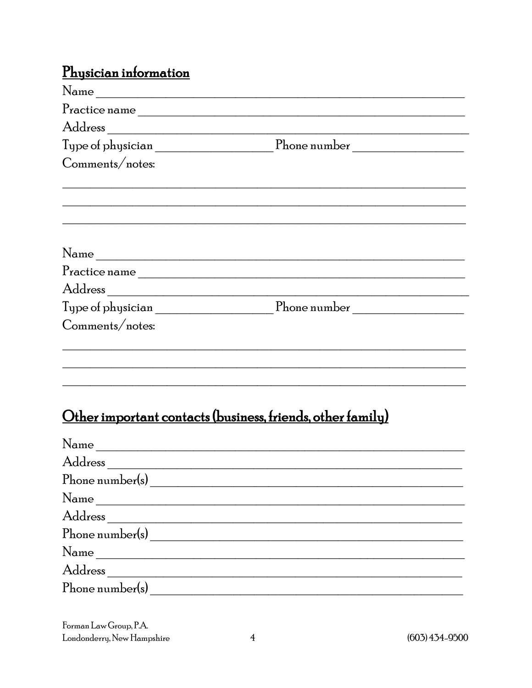#### Physician information

| Name                                                                                                                                                                                                                                                                                                                                                                                                                                                                                                                                                                   |                                                                                                                       |
|------------------------------------------------------------------------------------------------------------------------------------------------------------------------------------------------------------------------------------------------------------------------------------------------------------------------------------------------------------------------------------------------------------------------------------------------------------------------------------------------------------------------------------------------------------------------|-----------------------------------------------------------------------------------------------------------------------|
| $\begin{minipage}[c]{0.9\linewidth} \textbf{Practice name} \end{minipage} \vspace{0.05cm} \begin{minipage}[c]{0.9\linewidth} \centering \begin{minipage}[c]{0.9\linewidth} \centering \end{minipage} \begin{minipage}[c]{0.9\linewidth} \centering \begin{minipage}[c]{0.9\linewidth} \centering \centering \end{minipage} \begin{minipage}[c]{0.9\linewidth} \centering \centering \end{minipage} \begin{minipage}[c]{0.9\linewidth} \centering \centering \end{minipage} \begin{minipage}[c]{0.9\linewidth} \centering \centering \end{minipage} \begin{minipage}[c$ |                                                                                                                       |
|                                                                                                                                                                                                                                                                                                                                                                                                                                                                                                                                                                        |                                                                                                                       |
|                                                                                                                                                                                                                                                                                                                                                                                                                                                                                                                                                                        | ${\scriptstyle {\rm Type\ of\ physical\ }}, \qquad {\scriptstyle {\rm The\ number}} \qquad {\scriptstyle {\rm 2.55}}$ |
| Comments/notes:                                                                                                                                                                                                                                                                                                                                                                                                                                                                                                                                                        |                                                                                                                       |
|                                                                                                                                                                                                                                                                                                                                                                                                                                                                                                                                                                        |                                                                                                                       |
|                                                                                                                                                                                                                                                                                                                                                                                                                                                                                                                                                                        |                                                                                                                       |
| Name                                                                                                                                                                                                                                                                                                                                                                                                                                                                                                                                                                   |                                                                                                                       |
|                                                                                                                                                                                                                                                                                                                                                                                                                                                                                                                                                                        |                                                                                                                       |
|                                                                                                                                                                                                                                                                                                                                                                                                                                                                                                                                                                        |                                                                                                                       |
|                                                                                                                                                                                                                                                                                                                                                                                                                                                                                                                                                                        |                                                                                                                       |
| Comments/notes:                                                                                                                                                                                                                                                                                                                                                                                                                                                                                                                                                        |                                                                                                                       |
|                                                                                                                                                                                                                                                                                                                                                                                                                                                                                                                                                                        |                                                                                                                       |
|                                                                                                                                                                                                                                                                                                                                                                                                                                                                                                                                                                        |                                                                                                                       |

# Other important contacts (business, friends, other family)

| Name            |
|-----------------|
|                 |
|                 |
| $Name_$         |
|                 |
| Phone number(s) |
| Name            |
| Address         |
| Phone number(s) |

Forman Law Group, P.A. Londonderry, New Hampshire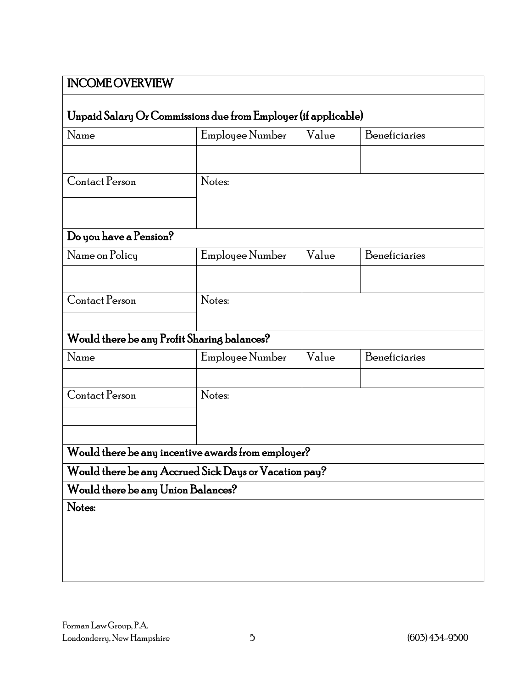|                                    | Unpaid Salary Or Commissions due from Employer (if applicable) |       |               |
|------------------------------------|----------------------------------------------------------------|-------|---------------|
| Name                               | Employee Number                                                | Value | Beneficiaries |
|                                    |                                                                |       |               |
| Contact Person                     | Notes:                                                         |       |               |
|                                    |                                                                |       |               |
|                                    |                                                                |       |               |
| Do you have a Pension?             |                                                                |       |               |
| Name on Policy                     | Employee Number                                                | Value | Beneficiaries |
|                                    |                                                                |       |               |
| Contact Person                     | Notes:                                                         |       |               |
|                                    |                                                                |       |               |
|                                    | Would there be any Profit Sharing balances?                    |       |               |
| Name                               | Employee Number                                                | Value | Beneficiaries |
|                                    |                                                                |       |               |
| Contact Person                     | Notes:                                                         |       |               |
|                                    |                                                                |       |               |
|                                    |                                                                |       |               |
|                                    | Would there be any incentive awards from employer?             |       |               |
|                                    | Would there be any Accrued Sick Days or Vacation pay?          |       |               |
| Would there be any Union Balances? |                                                                |       |               |
|                                    |                                                                |       |               |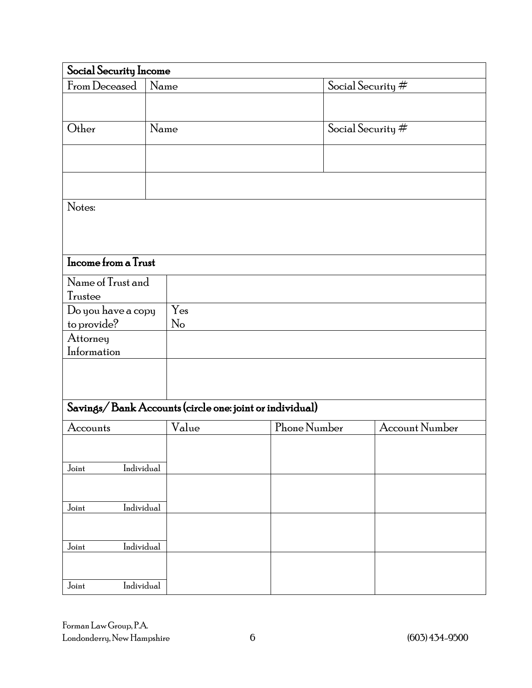| Social Security Income                                  |      |       |  |                   |                   |                       |
|---------------------------------------------------------|------|-------|--|-------------------|-------------------|-----------------------|
| From Deceased                                           |      | Name  |  | Social Security # |                   |                       |
|                                                         |      |       |  |                   |                   |                       |
| Other                                                   | Name |       |  |                   | Social Security # |                       |
|                                                         |      |       |  |                   |                   |                       |
|                                                         |      |       |  |                   |                   |                       |
| Notes:                                                  |      |       |  |                   |                   |                       |
|                                                         |      |       |  |                   |                   |                       |
|                                                         |      |       |  |                   |                   |                       |
| Income from a Trust                                     |      |       |  |                   |                   |                       |
| Name of Trust and                                       |      |       |  |                   |                   |                       |
| Trustee                                                 |      |       |  |                   |                   |                       |
| Do you have a copy                                      |      | Yes   |  |                   |                   |                       |
| to provide?                                             |      | No    |  |                   |                   |                       |
| Attorney                                                |      |       |  |                   |                   |                       |
| Information                                             |      |       |  |                   |                   |                       |
|                                                         |      |       |  |                   |                   |                       |
|                                                         |      |       |  |                   |                   |                       |
| Savings/Bank Accounts (circle one: joint or individual) |      |       |  |                   |                   |                       |
| Accounts                                                |      | Value |  | Phone Number      |                   | <b>Account Number</b> |
|                                                         |      |       |  |                   |                   |                       |
|                                                         |      |       |  |                   |                   |                       |
| Individual<br>Joint                                     |      |       |  |                   |                   |                       |
|                                                         |      |       |  |                   |                   |                       |
| Individual<br>Joint                                     |      |       |  |                   |                   |                       |
|                                                         |      |       |  |                   |                   |                       |
|                                                         |      |       |  |                   |                   |                       |
| Individual<br>Joint                                     |      |       |  |                   |                   |                       |
|                                                         |      |       |  |                   |                   |                       |
| Individual<br>Joint                                     |      |       |  |                   |                   |                       |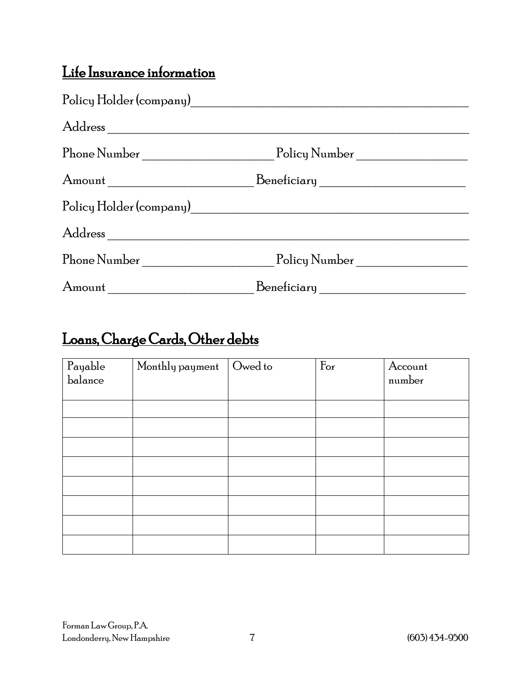#### Life Insurance information

|        | Amount ________________________________Beneficiary _____________________________ |  |
|--------|----------------------------------------------------------------------------------|--|
|        |                                                                                  |  |
|        |                                                                                  |  |
|        | Phone Number Policy Number                                                       |  |
| Amount | Beneficiary                                                                      |  |

## Loans, Charge Cards, Other debts

| ${\bf Payable}$<br>balance | Monthly payment | Owed to | $\rm{For}$ | Account<br>number |
|----------------------------|-----------------|---------|------------|-------------------|
|                            |                 |         |            |                   |
|                            |                 |         |            |                   |
|                            |                 |         |            |                   |
|                            |                 |         |            |                   |
|                            |                 |         |            |                   |
|                            |                 |         |            |                   |
|                            |                 |         |            |                   |
|                            |                 |         |            |                   |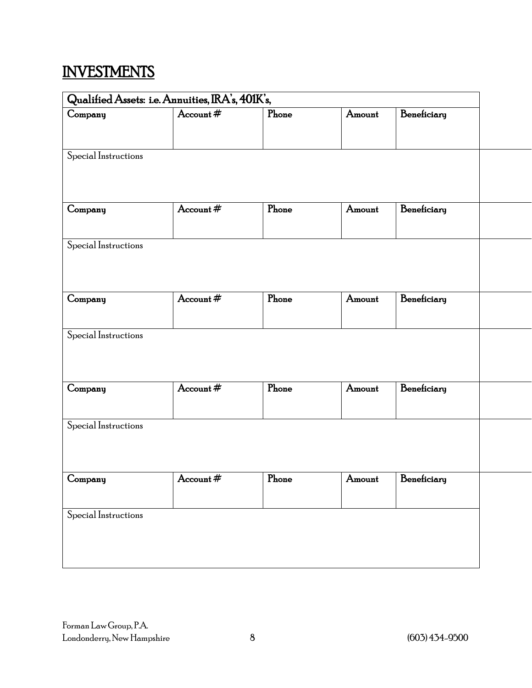## **INVESTMENTS**

| Qualified Assets: i.e. Annuities, IRA's, 401K's, |             |                   |        |                    |  |
|--------------------------------------------------|-------------|-------------------|--------|--------------------|--|
| Company                                          | Account $#$ | Phone             | Amount | Beneficiary        |  |
|                                                  |             |                   |        |                    |  |
| Special Instructions                             |             |                   |        |                    |  |
|                                                  |             |                   |        |                    |  |
|                                                  |             |                   |        |                    |  |
| Company                                          | Account #   | P <sub>hone</sub> | Amount | Beneficiary        |  |
|                                                  |             |                   |        |                    |  |
| Special Instructions                             |             |                   |        |                    |  |
|                                                  |             |                   |        |                    |  |
| Company                                          | Account $#$ | Phone             | Amount | Beneficiary        |  |
|                                                  |             |                   |        |                    |  |
| Special Instructions                             |             |                   |        |                    |  |
|                                                  |             |                   |        |                    |  |
|                                                  |             |                   |        |                    |  |
| Company                                          | Account $#$ | Phone             | Amount | Beneficiary        |  |
|                                                  |             |                   |        |                    |  |
| Special Instructions                             |             |                   |        |                    |  |
|                                                  |             |                   |        |                    |  |
|                                                  | Account #   |                   |        | Amount Beneficiary |  |
| Company                                          |             | ${\rm Phone}$     |        |                    |  |
| Special Instructions                             |             |                   |        |                    |  |
|                                                  |             |                   |        |                    |  |
|                                                  |             |                   |        |                    |  |
|                                                  |             |                   |        |                    |  |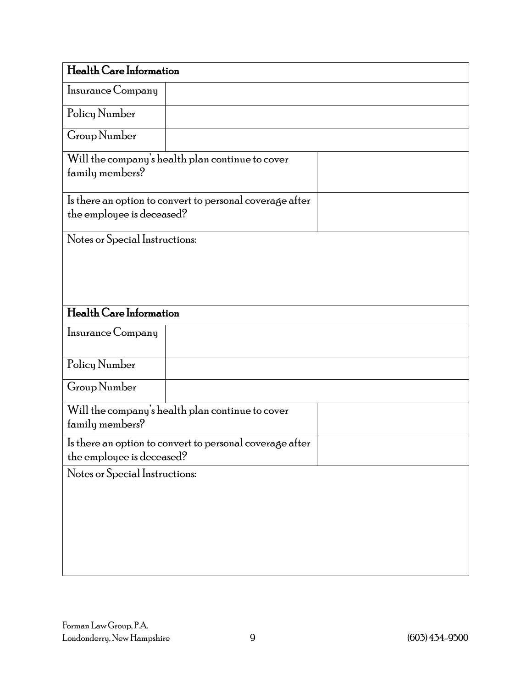| Health Care Information        |                                                          |  |
|--------------------------------|----------------------------------------------------------|--|
| Insurance Company              |                                                          |  |
| Policy Number                  |                                                          |  |
| Group Number                   |                                                          |  |
| family members?                | Will the company's health plan continue to cover         |  |
| the employee is deceased?      | Is there an option to convert to personal coverage after |  |
| Notes or Special Instructions: |                                                          |  |
|                                |                                                          |  |
|                                |                                                          |  |
| Health Care Information        |                                                          |  |
| Insurance Company              |                                                          |  |
| Policy Number                  |                                                          |  |
| Group Number                   |                                                          |  |
| family members?                | Will the company's health plan continue to cover         |  |
| the employee is deceased?      | Is there an option to convert to personal coverage after |  |
| Notes or Special Instructions: |                                                          |  |
|                                |                                                          |  |
|                                |                                                          |  |
|                                |                                                          |  |
|                                |                                                          |  |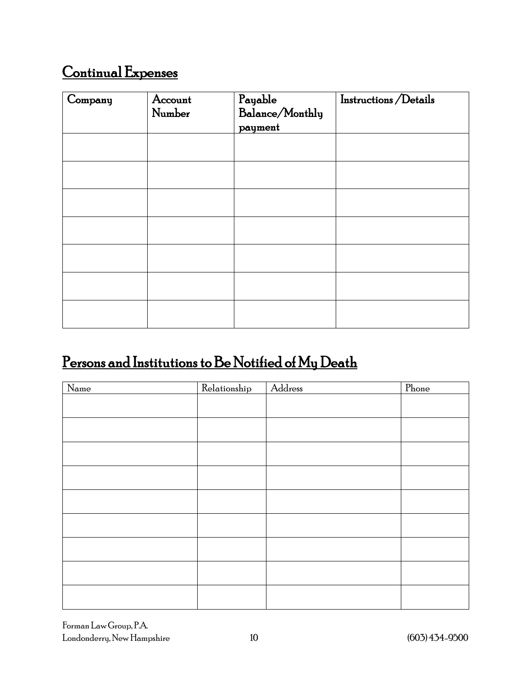## Continual Expenses

| Company | Account<br>Number | Payable<br>Balance/Monthly<br>payment | Instructions/Details |
|---------|-------------------|---------------------------------------|----------------------|
|         |                   |                                       |                      |
|         |                   |                                       |                      |
|         |                   |                                       |                      |
|         |                   |                                       |                      |
|         |                   |                                       |                      |
|         |                   |                                       |                      |
|         |                   |                                       |                      |

### Persons and Institutions to Be Notified of My Death

| $\overline{\text{Name}}$ | Relationship | Address | Phone |
|--------------------------|--------------|---------|-------|
|                          |              |         |       |
|                          |              |         |       |
|                          |              |         |       |
|                          |              |         |       |
|                          |              |         |       |
|                          |              |         |       |
|                          |              |         |       |
|                          |              |         |       |
|                          |              |         |       |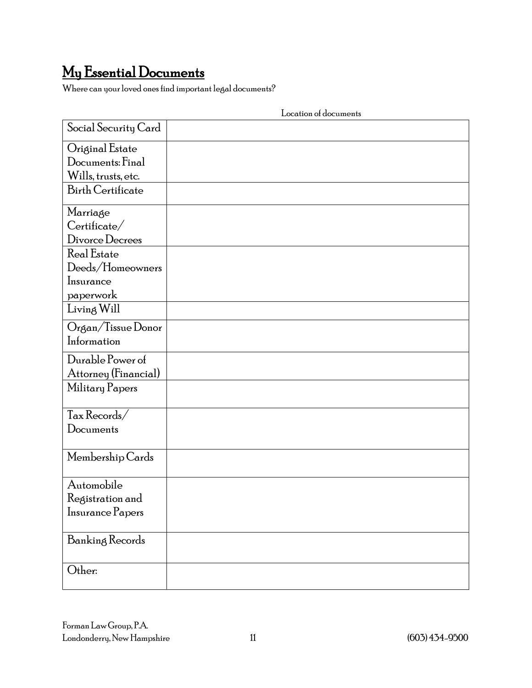# My Essential Documents Where can your loved ones find important legal documents?

|                          | Location of documents |
|--------------------------|-----------------------|
| Social Security Card     |                       |
| Original Estate          |                       |
| Documents: Final         |                       |
| Wills, trusts, etc.      |                       |
| <b>Birth Certificate</b> |                       |
|                          |                       |
| Marriage                 |                       |
| $\text{Certificate} /$   |                       |
| Divorce Decrees          |                       |
| Real Estate              |                       |
| Deeds/Homeowners         |                       |
| Insurance                |                       |
| paperwork                |                       |
| Living Will              |                       |
| Organ/Tissue Donor       |                       |
| Information              |                       |
| Durable Power of         |                       |
| Attorney (Financial)     |                       |
| Military Papers          |                       |
|                          |                       |
| Tax Records/             |                       |
| Documents                |                       |
|                          |                       |
| Membership Cards         |                       |
|                          |                       |
| Automobile               |                       |
| Registration and         |                       |
| Insurance Papers         |                       |
|                          |                       |
| Banking Records          |                       |
|                          |                       |
| Other:                   |                       |
|                          |                       |

Location of documents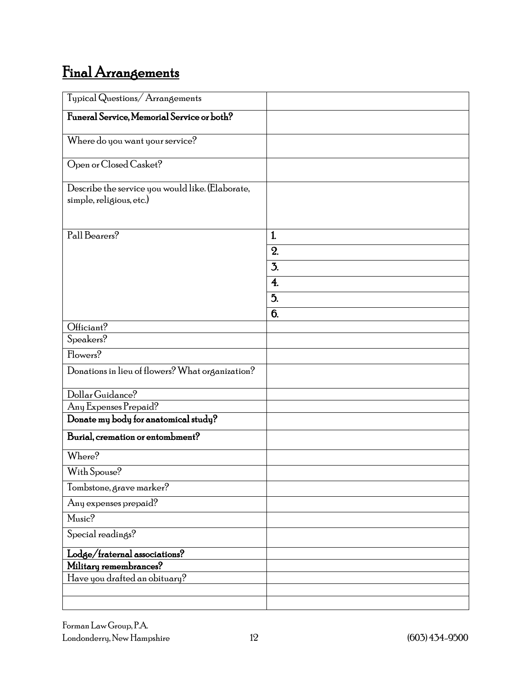# Final Arrangements

| Typical Questions/Arrangements                                               |                  |
|------------------------------------------------------------------------------|------------------|
| Funeral Service, Memorial Service or both?                                   |                  |
| Where do you want your service?                                              |                  |
| Open or Closed Casket?                                                       |                  |
| Describe the service you would like. (Elaborate,<br>simple, religious, etc.) |                  |
| Pall Bearers?                                                                | 1.               |
|                                                                              | 2.               |
|                                                                              | 3.               |
|                                                                              | $\overline{4}$ . |
|                                                                              |                  |
|                                                                              | 5.               |
| Officiant?                                                                   | 6.               |
| Speakers?                                                                    |                  |
| Flowers?                                                                     |                  |
| Donations in lieu of flowers? What organization?                             |                  |
| Dollar Guidance?                                                             |                  |
| Any Expenses Prepaid?                                                        |                  |
| Donate my body for anatomical study?                                         |                  |
| Burial, cremation or entombment?                                             |                  |
| Where?                                                                       |                  |
| With Spouse?                                                                 |                  |
| Tombstone, grave marker?                                                     |                  |
| Any expenses prepaid?                                                        |                  |
| Music?                                                                       |                  |
| Special readings?                                                            |                  |
| Lodge/fraternal associations?                                                |                  |
| Military remembrances?                                                       |                  |
| Have you drafted an obituary?                                                |                  |
|                                                                              |                  |